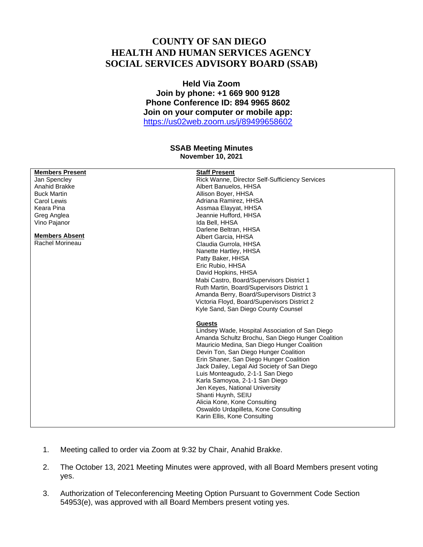## **COUNTY OF SAN DIEGO HEALTH AND HUMAN SERVICES AGENCY SOCIAL SERVICES ADVISORY BOARD (SSAB)**

**Held Via Zoom Join by phone: +1 669 900 9128 Phone Conference ID: 894 9965 8602 Join on your computer or mobile app:** <https://us02web.zoom.us/j/89499658602>

## **SSAB Meeting Minutes November 10, 2021**

| <b>Members Present</b> | <b>Staff Present</b>                              |
|------------------------|---------------------------------------------------|
| Jan Spencley           | Rick Wanne, Director Self-Sufficiency Services    |
| Anahid Brakke          | Albert Banuelos, HHSA                             |
| <b>Buck Martin</b>     | Allison Boyer, HHSA                               |
| Carol Lewis            | Adriana Ramirez, HHSA                             |
| Keara Pina             | Assmaa Elayyat, HHSA                              |
| Greg Anglea            | Jeannie Hufford, HHSA                             |
| Vino Pajanor           | Ida Bell, HHSA                                    |
|                        | Darlene Beltran, HHSA                             |
| <b>Members Absent</b>  | Albert Garcia, HHSA                               |
| Rachel Morineau        | Claudia Gurrola, HHSA                             |
|                        | Nanette Hartley, HHSA                             |
|                        | Patty Baker, HHSA                                 |
|                        | Eric Rubio, HHSA                                  |
|                        | David Hopkins, HHSA                               |
|                        | Mabi Castro, Board/Supervisors District 1         |
|                        | Ruth Martin, Board/Supervisors District 1         |
|                        | Amanda Berry, Board/Supervisors District 3        |
|                        | Victoria Floyd, Board/Supervisors District 2      |
|                        | Kyle Sand, San Diego County Counsel               |
|                        |                                                   |
|                        | <b>Guests</b>                                     |
|                        | Lindsey Wade, Hospital Association of San Diego   |
|                        | Amanda Schultz Brochu, San Diego Hunger Coalition |
|                        | Mauricio Medina, San Diego Hunger Coalition       |
|                        | Devin Ton, San Diego Hunger Coalition             |
|                        | Erin Shaner, San Diego Hunger Coalition           |
|                        | Jack Dailey, Legal Aid Society of San Diego       |
|                        | Luis Monteagudo, 2-1-1 San Diego                  |
|                        |                                                   |
|                        | Karla Samoyoa, 2-1-1 San Diego                    |
|                        | Jen Keyes, National University                    |
|                        | Shanti Huynh, SEIU                                |
|                        | Alicia Kone, Kone Consulting                      |
|                        | Oswaldo Urdapilleta, Kone Consulting              |
|                        | Karin Ellis, Kone Consulting                      |
|                        |                                                   |

- 1. Meeting called to order via Zoom at 9:32 by Chair, Anahid Brakke.
- 2. The October 13, 2021 Meeting Minutes were approved, with all Board Members present voting yes.
- 3. Authorization of Teleconferencing Meeting Option Pursuant to Government Code Section 54953(e), was approved with all Board Members present voting yes.